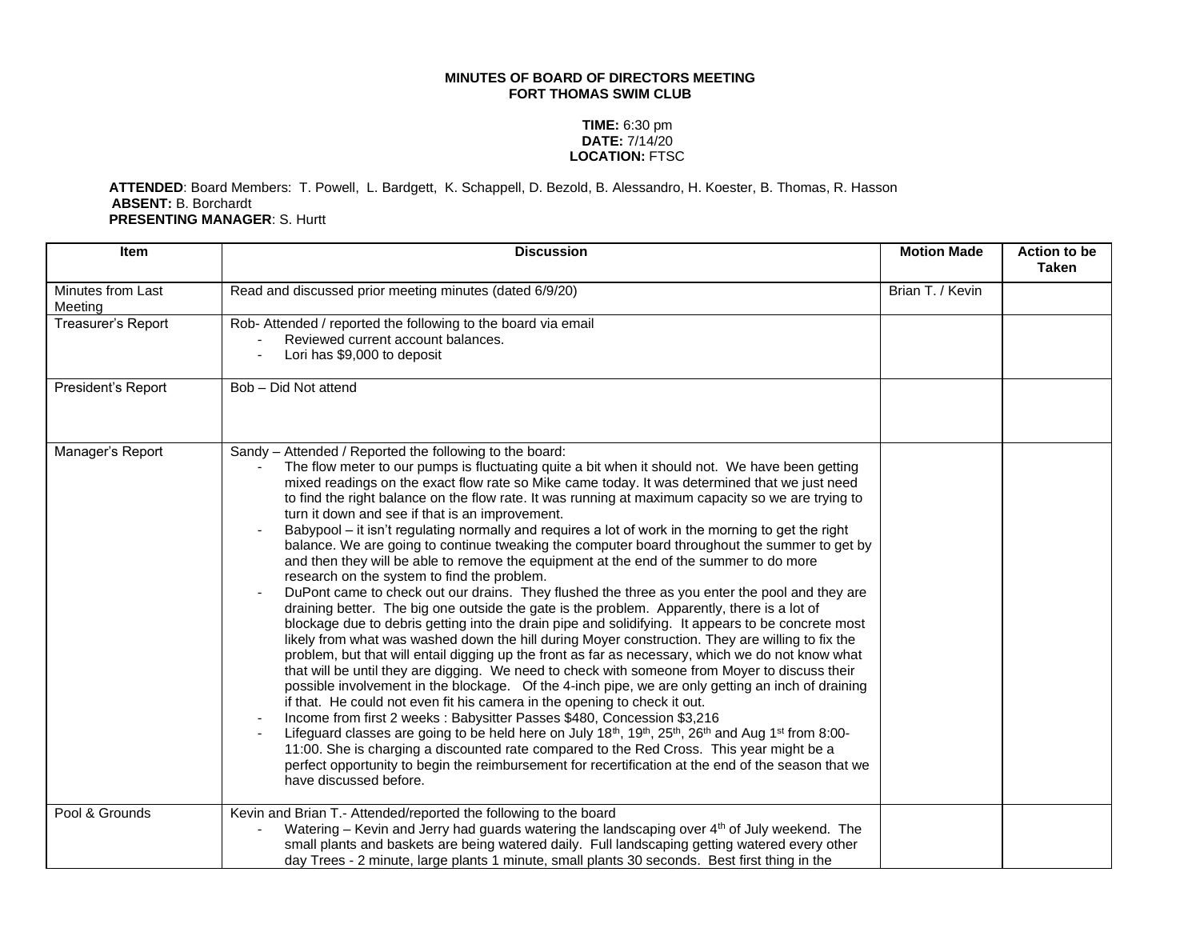## **MINUTES OF BOARD OF DIRECTORS MEETING FORT THOMAS SWIM CLUB**

## **TIME:** 6:30 pm **DATE:** 7/14/20 **LOCATION:** FTSC

## **ATTENDED**: Board Members: T. Powell, L. Bardgett, K. Schappell, D. Bezold, B. Alessandro, H. Koester, B. Thomas, R. Hasson **ABSENT:** B. Borchardt **PRESENTING MANAGER**: S. Hurtt

| <b>Item</b>                  | <b>Discussion</b>                                                                                                                                                                                                                                                                                                                                                                                                                                                                                                                                                                                                                                                                                                                                                                                                                                                                                                                                                                                                                                                                                                                                                                                                                                                                                                                                                                                                                                                                                                                                                                                                                                                                                                                                                                                                                                                                                                                                                                                  | <b>Motion Made</b> | Action to be<br><b>Taken</b> |
|------------------------------|----------------------------------------------------------------------------------------------------------------------------------------------------------------------------------------------------------------------------------------------------------------------------------------------------------------------------------------------------------------------------------------------------------------------------------------------------------------------------------------------------------------------------------------------------------------------------------------------------------------------------------------------------------------------------------------------------------------------------------------------------------------------------------------------------------------------------------------------------------------------------------------------------------------------------------------------------------------------------------------------------------------------------------------------------------------------------------------------------------------------------------------------------------------------------------------------------------------------------------------------------------------------------------------------------------------------------------------------------------------------------------------------------------------------------------------------------------------------------------------------------------------------------------------------------------------------------------------------------------------------------------------------------------------------------------------------------------------------------------------------------------------------------------------------------------------------------------------------------------------------------------------------------------------------------------------------------------------------------------------------------|--------------------|------------------------------|
| Minutes from Last<br>Meeting | Read and discussed prior meeting minutes (dated 6/9/20)                                                                                                                                                                                                                                                                                                                                                                                                                                                                                                                                                                                                                                                                                                                                                                                                                                                                                                                                                                                                                                                                                                                                                                                                                                                                                                                                                                                                                                                                                                                                                                                                                                                                                                                                                                                                                                                                                                                                            | Brian T. / Kevin   |                              |
| Treasurer's Report           | Rob- Attended / reported the following to the board via email<br>Reviewed current account balances.<br>Lori has \$9,000 to deposit                                                                                                                                                                                                                                                                                                                                                                                                                                                                                                                                                                                                                                                                                                                                                                                                                                                                                                                                                                                                                                                                                                                                                                                                                                                                                                                                                                                                                                                                                                                                                                                                                                                                                                                                                                                                                                                                 |                    |                              |
| President's Report           | Bob - Did Not attend                                                                                                                                                                                                                                                                                                                                                                                                                                                                                                                                                                                                                                                                                                                                                                                                                                                                                                                                                                                                                                                                                                                                                                                                                                                                                                                                                                                                                                                                                                                                                                                                                                                                                                                                                                                                                                                                                                                                                                               |                    |                              |
| Manager's Report             | Sandy - Attended / Reported the following to the board:<br>The flow meter to our pumps is fluctuating quite a bit when it should not. We have been getting<br>mixed readings on the exact flow rate so Mike came today. It was determined that we just need<br>to find the right balance on the flow rate. It was running at maximum capacity so we are trying to<br>turn it down and see if that is an improvement.<br>Babypool – it isn't regulating normally and requires a lot of work in the morning to get the right<br>balance. We are going to continue tweaking the computer board throughout the summer to get by<br>and then they will be able to remove the equipment at the end of the summer to do more<br>research on the system to find the problem.<br>DuPont came to check out our drains. They flushed the three as you enter the pool and they are<br>draining better. The big one outside the gate is the problem. Apparently, there is a lot of<br>blockage due to debris getting into the drain pipe and solidifying. It appears to be concrete most<br>likely from what was washed down the hill during Moyer construction. They are willing to fix the<br>problem, but that will entail digging up the front as far as necessary, which we do not know what<br>that will be until they are digging. We need to check with someone from Moyer to discuss their<br>possible involvement in the blockage. Of the 4-inch pipe, we are only getting an inch of draining<br>if that. He could not even fit his camera in the opening to check it out.<br>Income from first 2 weeks : Babysitter Passes \$480, Concession \$3,216<br>Lifeguard classes are going to be held here on July $18th$ , $19th$ , $25th$ , $26th$ and Aug $1st$ from 8:00-<br>11:00. She is charging a discounted rate compared to the Red Cross. This year might be a<br>perfect opportunity to begin the reimbursement for recertification at the end of the season that we<br>have discussed before. |                    |                              |
| Pool & Grounds               | Kevin and Brian T.- Attended/reported the following to the board<br>Watering - Kevin and Jerry had guards watering the landscaping over 4 <sup>th</sup> of July weekend. The<br>small plants and baskets are being watered daily. Full landscaping getting watered every other<br>day Trees - 2 minute, large plants 1 minute, small plants 30 seconds. Best first thing in the                                                                                                                                                                                                                                                                                                                                                                                                                                                                                                                                                                                                                                                                                                                                                                                                                                                                                                                                                                                                                                                                                                                                                                                                                                                                                                                                                                                                                                                                                                                                                                                                                    |                    |                              |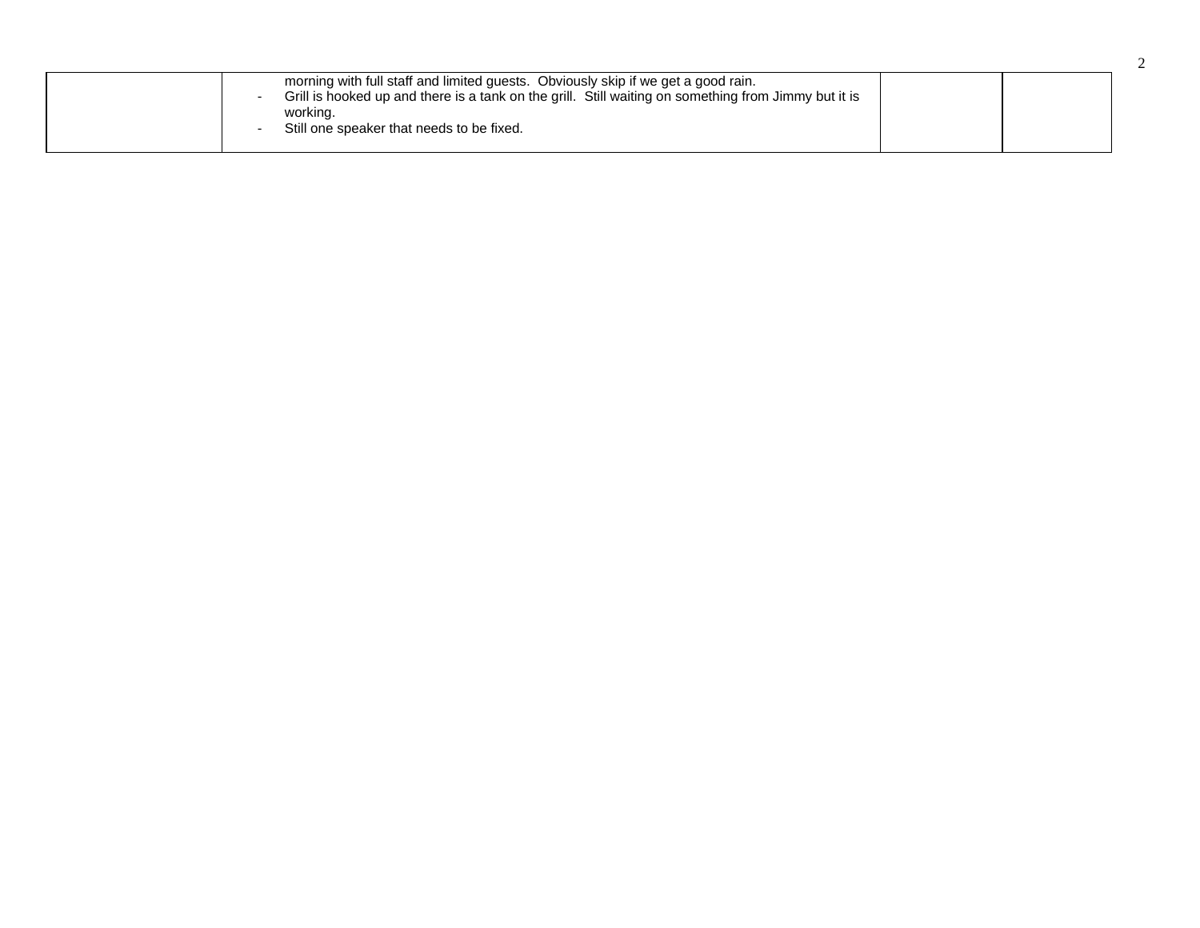| morning with full staff and limited guests. Obviously skip if we get a good rain.<br>Grill is hooked up and there is a tank on the grill. Still waiting on something from Jimmy but it is<br>working.<br>Still one speaker that needs to be fixed.<br>$\overline{\phantom{0}}$ |  |
|--------------------------------------------------------------------------------------------------------------------------------------------------------------------------------------------------------------------------------------------------------------------------------|--|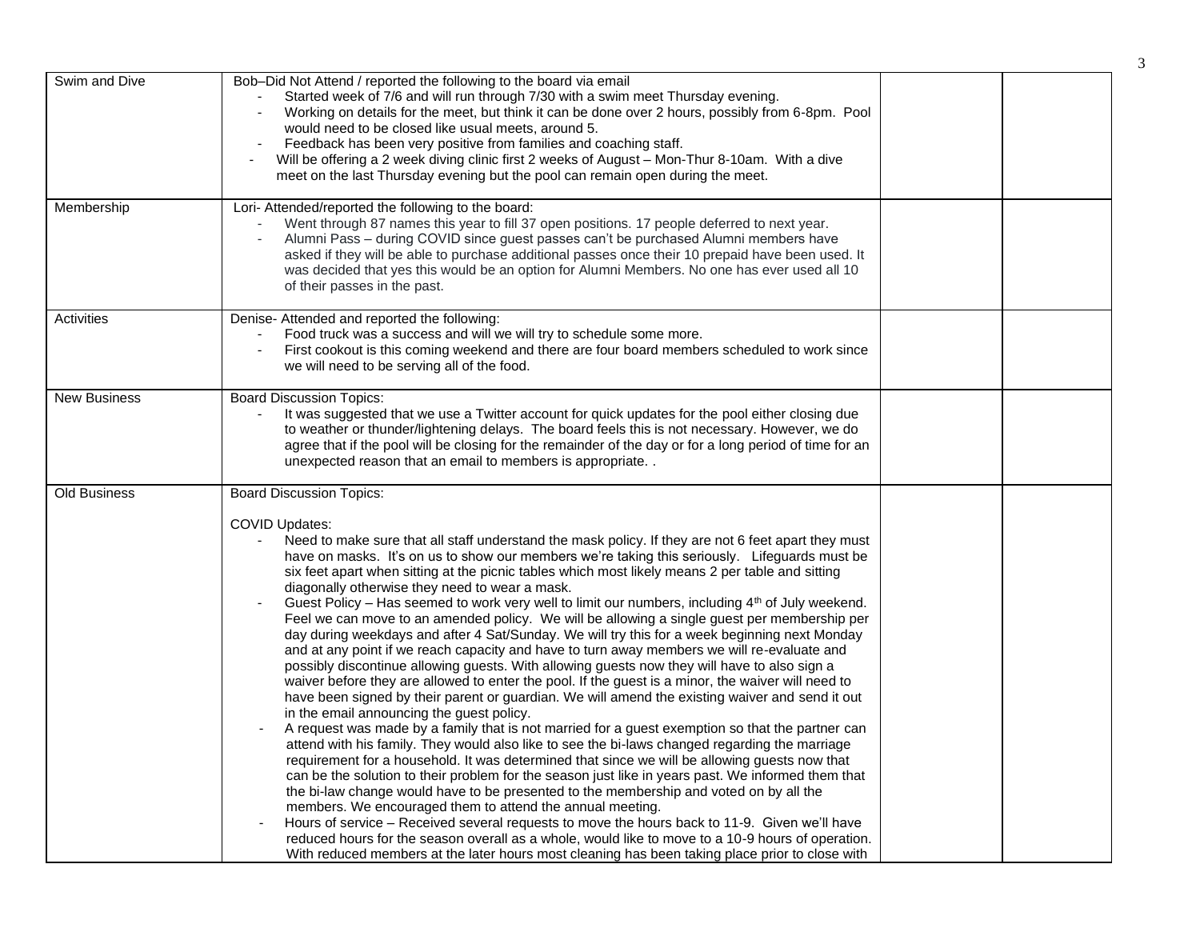| Swim and Dive       | Bob-Did Not Attend / reported the following to the board via email<br>Started week of 7/6 and will run through 7/30 with a swim meet Thursday evening.<br>Working on details for the meet, but think it can be done over 2 hours, possibly from 6-8pm. Pool<br>would need to be closed like usual meets, around 5.<br>Feedback has been very positive from families and coaching staff.<br>Will be offering a 2 week diving clinic first 2 weeks of August - Mon-Thur 8-10am. With a dive<br>$\blacksquare$<br>meet on the last Thursday evening but the pool can remain open during the meet.                                                                                                                                                                                                                                                                                                                                                                                                                                                                                                                                                                                                                                                                                                                                                                                                                                                                                                                                                                                                                                                                                                                                                                                                                                                                                                                                                                                                                                                                            |  |
|---------------------|---------------------------------------------------------------------------------------------------------------------------------------------------------------------------------------------------------------------------------------------------------------------------------------------------------------------------------------------------------------------------------------------------------------------------------------------------------------------------------------------------------------------------------------------------------------------------------------------------------------------------------------------------------------------------------------------------------------------------------------------------------------------------------------------------------------------------------------------------------------------------------------------------------------------------------------------------------------------------------------------------------------------------------------------------------------------------------------------------------------------------------------------------------------------------------------------------------------------------------------------------------------------------------------------------------------------------------------------------------------------------------------------------------------------------------------------------------------------------------------------------------------------------------------------------------------------------------------------------------------------------------------------------------------------------------------------------------------------------------------------------------------------------------------------------------------------------------------------------------------------------------------------------------------------------------------------------------------------------------------------------------------------------------------------------------------------------|--|
| Membership          | Lori- Attended/reported the following to the board:<br>Went through 87 names this year to fill 37 open positions. 17 people deferred to next year.<br>Alumni Pass - during COVID since guest passes can't be purchased Alumni members have<br>asked if they will be able to purchase additional passes once their 10 prepaid have been used. It<br>was decided that yes this would be an option for Alumni Members. No one has ever used all 10<br>of their passes in the past.                                                                                                                                                                                                                                                                                                                                                                                                                                                                                                                                                                                                                                                                                                                                                                                                                                                                                                                                                                                                                                                                                                                                                                                                                                                                                                                                                                                                                                                                                                                                                                                           |  |
| Activities          | Denise- Attended and reported the following:<br>Food truck was a success and will we will try to schedule some more.<br>First cookout is this coming weekend and there are four board members scheduled to work since<br>we will need to be serving all of the food.                                                                                                                                                                                                                                                                                                                                                                                                                                                                                                                                                                                                                                                                                                                                                                                                                                                                                                                                                                                                                                                                                                                                                                                                                                                                                                                                                                                                                                                                                                                                                                                                                                                                                                                                                                                                      |  |
| <b>New Business</b> | <b>Board Discussion Topics:</b><br>It was suggested that we use a Twitter account for quick updates for the pool either closing due<br>to weather or thunder/lightening delays. The board feels this is not necessary. However, we do<br>agree that if the pool will be closing for the remainder of the day or for a long period of time for an<br>unexpected reason that an email to members is appropriate                                                                                                                                                                                                                                                                                                                                                                                                                                                                                                                                                                                                                                                                                                                                                                                                                                                                                                                                                                                                                                                                                                                                                                                                                                                                                                                                                                                                                                                                                                                                                                                                                                                             |  |
| <b>Old Business</b> | <b>Board Discussion Topics:</b><br><b>COVID Updates:</b><br>Need to make sure that all staff understand the mask policy. If they are not 6 feet apart they must<br>have on masks. It's on us to show our members we're taking this seriously. Lifeguards must be<br>six feet apart when sitting at the picnic tables which most likely means 2 per table and sitting<br>diagonally otherwise they need to wear a mask.<br>Guest Policy – Has seemed to work very well to limit our numbers, including 4 <sup>th</sup> of July weekend.<br>Feel we can move to an amended policy. We will be allowing a single guest per membership per<br>day during weekdays and after 4 Sat/Sunday. We will try this for a week beginning next Monday<br>and at any point if we reach capacity and have to turn away members we will re-evaluate and<br>possibly discontinue allowing guests. With allowing guests now they will have to also sign a<br>waiver before they are allowed to enter the pool. If the guest is a minor, the waiver will need to<br>have been signed by their parent or guardian. We will amend the existing waiver and send it out<br>in the email announcing the guest policy.<br>A request was made by a family that is not married for a guest exemption so that the partner can<br>attend with his family. They would also like to see the bi-laws changed regarding the marriage<br>requirement for a household. It was determined that since we will be allowing guests now that<br>can be the solution to their problem for the season just like in years past. We informed them that<br>the bi-law change would have to be presented to the membership and voted on by all the<br>members. We encouraged them to attend the annual meeting.<br>Hours of service – Received several requests to move the hours back to 11-9. Given we'll have<br>reduced hours for the season overall as a whole, would like to move to a 10-9 hours of operation.<br>With reduced members at the later hours most cleaning has been taking place prior to close with |  |